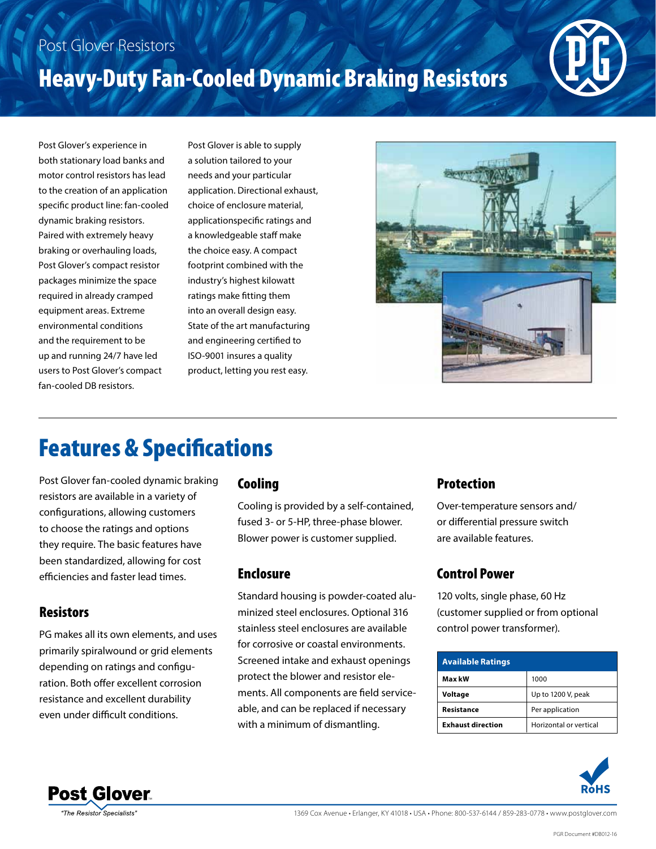### Post Glover Resistors

# Heavy-Duty Fan-Cooled Dynamic Braking Resistors



Post Glover's experience in both stationary load banks and motor control resistors has lead to the creation of an application specific product line: fan-cooled dynamic braking resistors. Paired with extremely heavy braking or overhauling loads, Post Glover's compact resistor packages minimize the space required in already cramped equipment areas. Extreme environmental conditions and the requirement to be up and running 24/7 have led users to Post Glover's compact fan-cooled DB resistors.

Post Glover is able to supply a solution tailored to your needs and your particular application. Directional exhaust, choice of enclosure material, applicationspecific ratings and a knowledgeable staff make the choice easy. A compact footprint combined with the industry's highest kilowatt ratings make fitting them into an overall design easy. State of the art manufacturing and engineering certified to ISO-9001 insures a quality product, letting you rest easy.



### Features & Specifications

Post Glover fan-cooled dynamic braking resistors are available in a variety of configurations, allowing customers to choose the ratings and options they require. The basic features have been standardized, allowing for cost efficiencies and faster lead times.

#### **Resistors**

PG makes all its own elements, and uses primarily spiralwound or grid elements depending on ratings and configuration. Both offer excellent corrosion resistance and excellent durability even under difficult conditions.

#### Cooling

Cooling is provided by a self-contained, fused 3- or 5-HP, three-phase blower. Blower power is customer supplied.

#### Enclosure

Standard housing is powder-coated aluminized steel enclosures. Optional 316 stainless steel enclosures are available for corrosive or coastal environments. Screened intake and exhaust openings protect the blower and resistor elements. All components are field serviceable, and can be replaced if necessary with a minimum of dismantling.

#### Protection

Over-temperature sensors and/ or differential pressure switch are available features.

#### Control Power

120 volts, single phase, 60 Hz (customer supplied or from optional control power transformer).

| <b>Available Ratings</b> |                        |  |  |  |  |
|--------------------------|------------------------|--|--|--|--|
| Max kW                   | 1000                   |  |  |  |  |
| Voltage                  | Up to 1200 V, peak     |  |  |  |  |
| Resistance               | Per application        |  |  |  |  |
| <b>Exhaust direction</b> | Horizontal or vertical |  |  |  |  |





1369 Cox Avenue • Erlanger, KY 41018 • USA • Phone: 800-537-6144 / 859-283-0778 • www.postglover.com